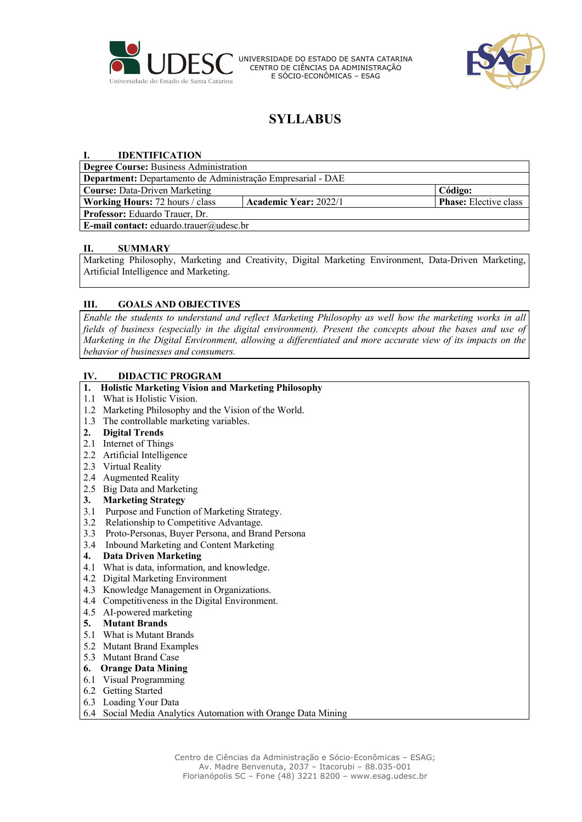

UNIVERSIDADE DO ESTADO DE SANTA CATARINA CENTRO DE CIÊNCIAS DA ADMINISTRAÇÃO E SÓCIO-ECONÔMICAS – ESAG



# **SYLLABUS**

## **I. IDENTIFICATION**

| <b>Degree Course: Business Administration</b>               |                              |                              |  |  |  |
|-------------------------------------------------------------|------------------------------|------------------------------|--|--|--|
| Department: Departamento de Administração Empresarial - DAE |                              |                              |  |  |  |
| <b>Course: Data-Driven Marketing</b>                        |                              | Código:                      |  |  |  |
| <b>Working Hours:</b> 72 hours / class                      | <b>Academic Year: 2022/1</b> | <b>Phase:</b> Elective class |  |  |  |
| <b>Professor:</b> Eduardo Trauer, Dr.                       |                              |                              |  |  |  |
| <b>E-mail contact:</b> eduardo.trauer@udesc.br              |                              |                              |  |  |  |

#### **II. SUMMARY**

Marketing Philosophy, Marketing and Creativity, Digital Marketing Environment, Data-Driven Marketing, Artificial Intelligence and Marketing.

## **III. GOALS AND OBJECTIVES**

*Enable the students to understand and reflect Marketing Philosophy as well how the marketing works in all fields of business (especially in the digital environment). Present the concepts about the bases and use of Marketing in the Digital Environment, allowing a differentiated and more accurate view of its impacts on the behavior of businesses and consumers.*

#### **IV. DIDACTIC PROGRAM**

#### **1. Holistic Marketing Vision and Marketing Philosophy**

- 1.1 What is Holistic Vision.
- 1.2 Marketing Philosophy and the Vision of the World.
- 1.3 The controllable marketing variables.

#### **2. Digital Trends**

- 2.1 Internet of Things
- 2.2 Artificial Intelligence
- 2.3 Virtual Reality
- 2.4 Augmented Reality
- 2.5 Big Data and Marketing

## **3. Marketing Strategy**

- 3.1 Purpose and Function of Marketing Strategy.
- 3.2 Relationship to Competitive Advantage.
- 3.3 Proto-Personas, Buyer Persona, and Brand Persona
- 3.4 Inbound Marketing and Content Marketing

## **4. Data Driven Marketing**

- 4.1 What is data, information, and knowledge.
- 4.2 Digital Marketing Environment
- 4.3 Knowledge Management in Organizations.
- 4.4 Competitiveness in the Digital Environment.
- 4.5 AI-powered marketing

#### **5. Mutant Brands**

- 5.1 What is Mutant Brands
- 5.2 Mutant Brand Examples
- 5.3 Mutant Brand Case

## **6. Orange Data Mining**

- 6.1 Visual Programming
- 6.2 Getting Started
- 6.3 Loading Your Data
- 6.4 Social Media Analytics Automation with Orange Data Mining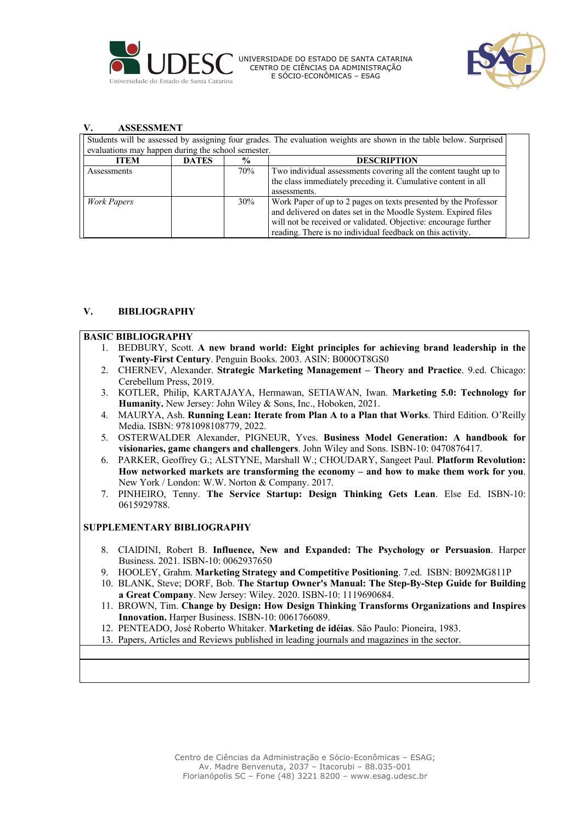

UNIVERSIDADE DO ESTADO DE SANTA CATARINA CENTRO DE CIÊNCIAS DA ADMINISTRAÇÃO E SÓCIO-ECONÔMICAS – ESAG



#### **V. ASSESSMENT**

Students will be assessed by assigning four grades. The evaluation weights are shown in the table below. Surprised evaluations may happen during the school semester.

| <b>ITEM</b> | <b>DATES</b> | $\frac{6}{9}$ | <b>DESCRIPTION</b>                                                                                                                |
|-------------|--------------|---------------|-----------------------------------------------------------------------------------------------------------------------------------|
| Assessments |              | 70%           | Two individual assessments covering all the content taught up to<br>the class immediately preceding it. Cumulative content in all |
|             |              |               | assessments.                                                                                                                      |
| Work Papers |              | 30%           | Work Paper of up to 2 pages on texts presented by the Professor                                                                   |
|             |              |               | and delivered on dates set in the Moodle System. Expired files                                                                    |
|             |              |               | will not be received or validated. Objective: encourage further                                                                   |
|             |              |               | reading. There is no individual feedback on this activity.                                                                        |

### **V. BIBLIOGRAPHY**

#### **BASIC BIBLIOGRAPHY**

- 1. BEDBURY, Scott. **A new brand world: Eight principles for achieving brand leadership in the Twenty-First Century**. Penguin Books. 2003. ASIN: B000OT8GS0
- 2. CHERNEV, Alexander. **Strategic Marketing Management – Theory and Practice**. 9.ed. Chicago: Cerebellum Press, 2019.
- 3. KOTLER, Philip, KARTAJAYA, Hermawan, SETIAWAN, Iwan. **Marketing 5.0: Technology for Humanity.** New Jersey: John Wiley & Sons, Inc., Hoboken, 2021.
- 4. MAURYA, Ash. **Running Lean: Iterate from Plan A to a Plan that Works**. Third Edition. O'Reilly Media. ISBN: 9781098108779, 2022.
- 5. OSTERWALDER Alexander, PIGNEUR, Yves. **Business Model Generation: A handbook for visionaries, game changers and challengers**. John Wiley and Sons. ISBN-10: 0470876417.
- 6. PARKER, Geoffrey G.; ALSTYNE, Marshall W.; CHOUDARY, Sangeet Paul. **Platform Revolution: How networked markets are transforming the economy – and how to make them work for you**. New York / London: W.W. Norton & Company. 2017.
- 7. PINHEIRO, Tenny. **The Service Startup: Design Thinking Gets Lean**. Else Ed. ISBN-10: 0615929788.

#### **SUPPLEMENTARY BIBLIOGRAPHY**

- 8. CIAlDINI, Robert B. **Influence, New and Expanded: The Psychology or Persuasion**. Harper Business. 2021. ISBN-10: 0062937650
- 9. HOOLEY, Grahm. **Marketing Strategy and Competitive Positioning**. 7.ed. ISBN: B092MG811P
- 10. BLANK, Steve; DORF, Bob. **The Startup Owner's Manual: The Step-By-Step Guide for Building a Great Company**. New Jersey: Wiley. 2020. ISBN-10: 1119690684.
- 11. BROWN, Tim. **Change by Design: How Design Thinking Transforms Organizations and Inspires Innovation.** Harper Business. ISBN-10: 0061766089.
- 12. PENTEADO, José Roberto Whitaker. **Marketing de idéias**. São Paulo: Pioneira, 1983.
- 13. Papers, Articles and Reviews published in leading journals and magazines in the sector.